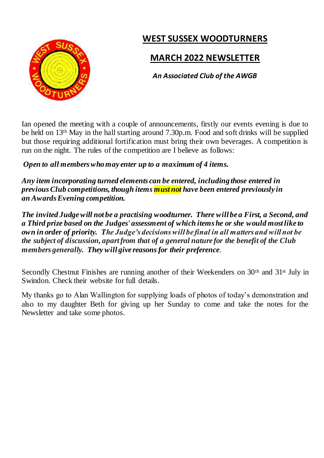# **WEST SUSSEX WOODTURNERS**



## **MARCH 2022 NEWSLETTER**

*An Associated Club of the AWGB*

Ian opened the meeting with a couple of announcements, firstly our events evening is due to be held on 13th May in the hall starting around 7.30p.m. Food and soft drinks will be supplied but those requiring additional fortification must bring their own beverages. A competition is run on the night. The rules of the competition are I believe as follows:

*Open to all members who may enter up to a maximum of 4 items.*

*Any item incorporating turned elements can be entered, including those entered in previous Club competitions, though items must not have been entered previously in an Awards Evening competition.*

*The invited Judge will not be a practising woodturner. There will be a First, a Second, and a Third prize based on the Judges' assessment of which items he or she would most like to own in order of priority. The Judge's decisions will be final in all matters and will not be the subject of discussion, apart from that of a general nature for the benefit of the Club members generally. They will give reasons for their preference.*

Secondly Chestnut Finishes are running another of their Weekenders on 30<sup>th</sup> and 31<sup>st</sup> July in Swindon. Check their website for full details.

My thanks go to Alan Wallington for supplying loads of photos of today's demonstration and also to my daughter Beth for giving up her Sunday to come and take the notes for the Newsletter and take some photos.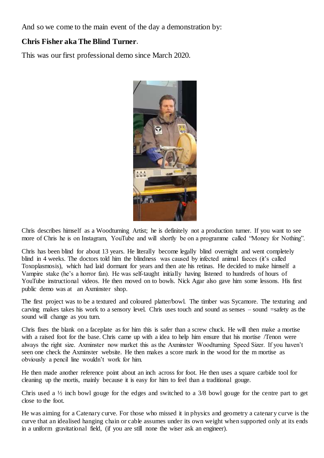And so we come to the main event of the day a demonstration by:

## **Chris Fisher aka The Blind Turner**.

This was our first professional demo since March 2020.



Chris describes himself as a Woodturning Artist; he is definitely not a production turner. If you want to see more of Chris he is on Instagram, YouTube and will shortly be on a programme called "Money for Nothing".

Chris has been blind for about 13 years. He literally become legally blind overnight and went completely blind in 4 weeks. The doctors told him the blindness was caused by infected animal faeces (it's called Toxoplasmosis), which had laid dormant for years and then ate his retinas. He decided to make himself a Vampire stake (he's a horror fan). He was self-taught initially having listened to hundreds of hours of YouTube instructional videos. He then moved on to bowls. Nick Agar also gave him some lessons. His first public demo was at an Axminster shop.

The first project was to be a textured and coloured platter/bowl. The timber was Sycamore. The texturing and carving makes takes his work to a sensory level. Chris uses touch and sound as senses – sound =safety as the sound will change as you turn.

Chris fixes the blank on a faceplate as for him this is safer than a screw chuck. He will then make a mortise with a raised foot for the base. Chris came up with a idea to help him ensure that his mortise /Tenon were always the right size. Axminster now market this as the Axminster Woodturning Speed Sizer. If you haven't seen one check the Axminster website. He then makes a score mark in the wood for the m mortise as obviously a pencil line wouldn't work for him.

He then made another reference point about an inch across for foot. He then uses a square carbide tool for cleaning up the mortis, mainly because it is easy for him to feel than a traditional gouge.

Chris used a ½ inch bowl gouge for the edges and switched to a 3/8 bowl gouge for the centre part to get close to the foot.

He was aiming for a Catenary curve. For those who missed it in physics and geometry a catenar y curve is the curve that an idealised hanging chain or cable assumes under its own weight when supported only at its ends in a uniform gravitational field, (if you are still none the wiser ask an engineer).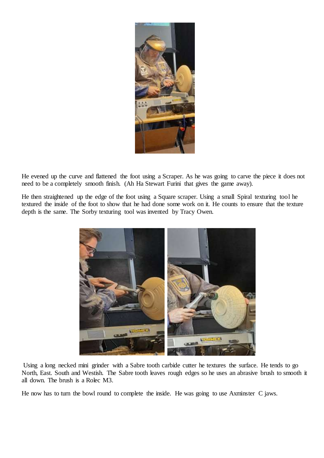

He evened up the curve and flattened the foot using a Scraper. As he was going to carve the piece it does not need to be a completely smooth finish. (Ah Ha Stewart Furini that gives the game away).

He then straightened up the edge of the foot using a Square scraper. Using a small Spiral texturing tool he textured the inside of the foot to show that he had done some work on it. He counts to ensure that the texture depth is the same. The Sorby texturing tool was invented by Tracy Owen.



Using a long necked mini grinder with a Sabre tooth carbide cutter he textures the surface. He tends to go North, East. South and Westish. The Sabre tooth leaves rough edges so he uses an abrasive brush to smooth it all down. The brush is a Rolec M3.

He now has to turn the bowl round to complete the inside. He was going to use Axminster C jaws.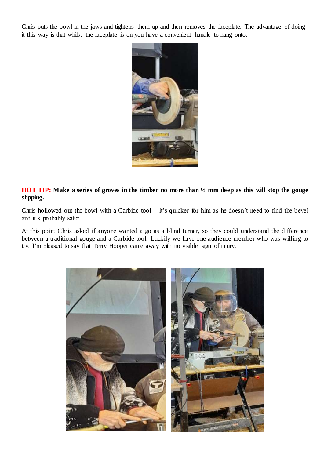Chris puts the bowl in the jaws and tightens them up and then removes the faceplate. The advantage of doing it this way is that whilst the faceplate is on you have a convenient handle to hang onto.



**HOT TIP: Make a series of groves in the timber no more than ½ mm deep as this will stop the gouge slipping.**

Chris hollowed out the bowl with a Carbide tool – it's quicker for him as he doesn't need to find the bevel and it's probably safer.

At this point Chris asked if anyone wanted a go as a blind turner, so they could understand the difference between a traditional gouge and a Carbide tool. Luckily we have one audience member who was willing to try. I'm pleased to say that Terry Hooper came away with no visible sign of injury.

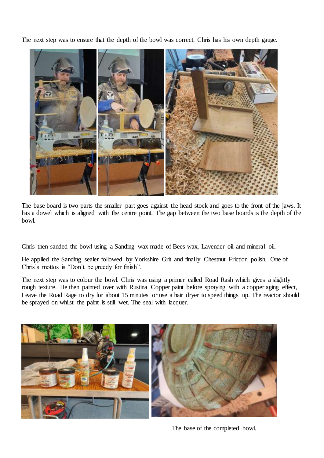The next step was to ensure that the depth of the bowl was correct. Chris has his own depth gauge.



The base board is two parts the smaller part goes against the head stock and goes to the front of the jaws. It has a dowel which is aligned with the centre point. The gap between the two base boards is the depth of the bowl.

Chris then sanded the bowl using a Sanding wax made of Bees wax, Lavender oil and mineral oil.

He applied the Sanding sealer followed by Yorkshire Grit and finally Chestnut Friction polish. One of Chris's mottos is "Don't be greedy for finish".

The next step was to colour the bowl. Chris was using a primer called Road Rash which gives a slightly rough texture. He then painted over with Rustina Copper paint before spraying with a copper aging effect, Leave the Road Rage to dry for about 15 minutes or use a hair dryer to speed things up. The reactor should be sprayed on whilst the paint is still wet. The seal with lacquer.



The base of the completed bowl.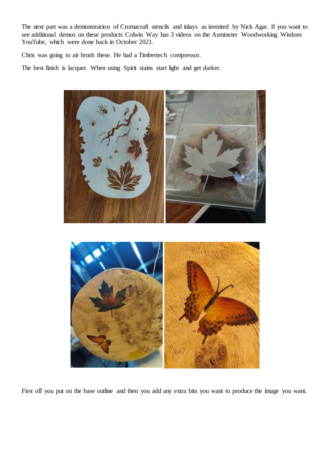The next part was a demonstration of Cromacraft stencils and inlays as invented by Nick Agar. If you want to see additional demos on these products Colwin Way has 3 videos on the Axminster Woodworking Wisdom YouTube, which were done back in October 2021.

Chris was going to air brush these. He had a Timbertech compressor.

The best finish is lacquer. When using Spirit stains start light and get darker.



First off you put on the base outline and then you add any extra bits you want to produce the image you want.